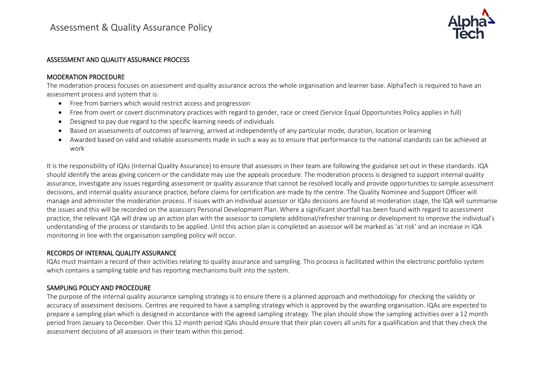

#### ASSESSMENT AND QUALITY ASSURANCE PROCESS

#### MODERATION PROCEDURE

The moderation process focuses on assessment and quality assurance across the whole organisation and learner base. AlphaTech is required to have an assessment process and system that is:

- Free from barriers which would restrict access and progression
- Free from overt or covert discriminatory practices with regard to gender, race or creed (Service Equal Opportunities Policy applies in full)
- Designed to pay due regard to the specific learning needs of individuals
- Based on assessments of outcomes of learning, arrived at independently of any particular mode, duration, location or learning
- Awarded based on valid and reliable assessments made in such a way as to ensure that performance to the national standards can be achieved at work

It is the responsibility of IQAs (Internal Quality Assurance) to ensure that assessors in their team are following the guidance set out in these standards. IQA should identify the areas giving concern or the candidate may use the appeals procedure. The moderation process is designed to support internal quality assurance, investigate any issues regarding assessment or quality assurance that cannot be resolved locally and provide opportunities to sample assessment decisions, and internal quality assurance practice, before claims for certification are made by the centre. The Quality Nominee and Support Officer will manage and administer the moderation process. If issues with an individual assessor or IQAs decisions are found at moderation stage, the IQA will summarise the issues and this will be recorded on the assessors Personal Development Plan. Where a significant shortfall has been found with regard to assessment practice, the relevant IQA will draw up an action plan with the assessor to complete additional/refresher training or development to improve the individual's understanding of the process or standards to be applied. Until this action plan is completed an assessor will be marked as 'at risk' and an increase in IQA monitoring in line with the organisation sampling policy will occur.

## RECORDS OF INTERNAL QUALITY ASSURANCE

IQAs must maintain a record of their activities relating to quality assurance and sampling. This process is facilitated within the electronic portfolio system which contains a sampling table and has reporting mechanisms built into the system.

# SAMPLING POLICY AND PROCEDURE

The purpose of the internal quality assurance sampling strategy is to ensure there is a planned approach and methodology for checking the validity or accuracy of assessment decisions. Centres are required to have a sampling strategy which is approved by the awarding organisation. IQAs are expected to prepare a sampling plan which is designed in accordance with the agreed sampling strategy. The plan should show the sampling activities over a 12 month period from January to December. Over this 12 month period IQAs should ensure that their plan covers all units for a qualification and that they check the assessment decisions of all assessors in their team within this period.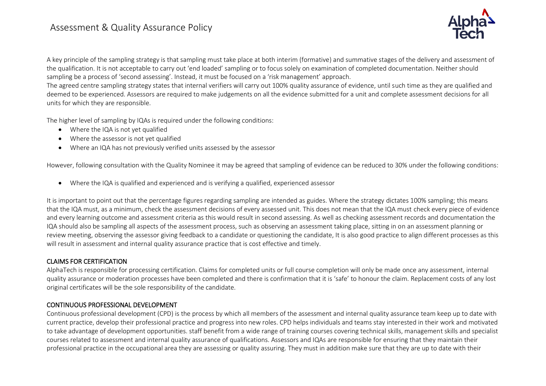

A key principle of the sampling strategy is that sampling must take place at both interim (formative) and summative stages of the delivery and assessment of the qualification. It is not acceptable to carry out 'end loaded' sampling or to focus solely on examination of completed documentation. Neither should sampling be a process of 'second assessing'. Instead, it must be focused on a 'risk management' approach.

The agreed centre sampling strategy states that internal verifiers will carry out 100% quality assurance of evidence, until such time as they are qualified and deemed to be experienced. Assessors are required to make judgements on all the evidence submitted for a unit and complete assessment decisions for all units for which they are responsible.

The higher level of sampling by IQAs is required under the following conditions:

- Where the IQA is not yet qualified
- Where the assessor is not yet qualified
- Where an IQA has not previously verified units assessed by the assessor

However, following consultation with the Quality Nominee it may be agreed that sampling of evidence can be reduced to 30% under the following conditions:

• Where the IQA is qualified and experienced and is verifying a qualified, experienced assessor

It is important to point out that the percentage figures regarding sampling are intended as guides. Where the strategy dictates 100% sampling; this means that the IQA must, as a minimum, check the assessment decisions of every assessed unit. This does not mean that the IQA must check every piece of evidence and every learning outcome and assessment criteria as this would result in second assessing. As well as checking assessment records and documentation the IQA should also be sampling all aspects of the assessment process, such as observing an assessment taking place, sitting in on an assessment planning or review meeting, observing the assessor giving feedback to a candidate or questioning the candidate, It is also good practice to align different processes as this will result in assessment and internal quality assurance practice that is cost effective and timely.

## CLAIMS FOR CERTIFICATION

AlphaTech is responsible for processing certification. Claims for completed units or full course completion will only be made once any assessment, internal quality assurance or moderation processes have been completed and there is confirmation that it is 'safe' to honour the claim. Replacement costs of any lost original certificates will be the sole responsibility of the candidate.

# CONTINUOUS PROFESSIONAL DEVELOPMENT

Continuous professional development (CPD) is the process by which all members of the assessment and internal quality assurance team keep up to date with current practice, develop their professional practice and progress into new roles. CPD helps individuals and teams stay interested in their work and motivated to take advantage of development opportunities. staff benefit from a wide range of training courses covering technical skills, management skills and specialist courses related to assessment and internal quality assurance of qualifications. Assessors and IQAs are responsible for ensuring that they maintain their professional practice in the occupational area they are assessing or quality assuring. They must in addition make sure that they are up to date with their